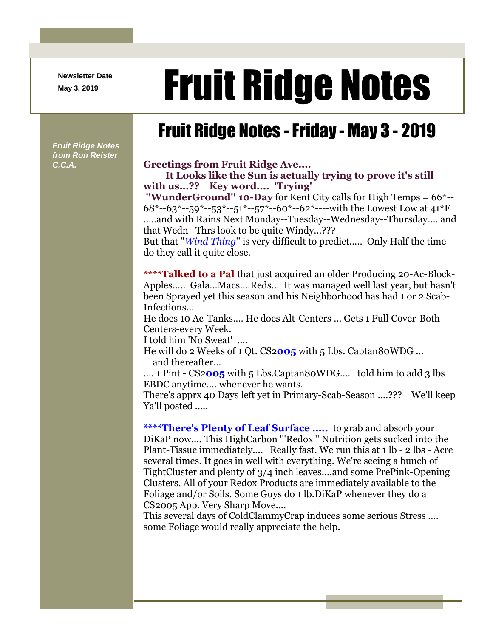**Newsletter Date**

# Newsletter Date **Fruit Ridge Notes**

## Fruit Ridge Notes -Friday - May 3 - 2019

*Fruit Ridge Notes from Ron Reister* 

#### *C.C.A.* **Greetings from Fruit Ridge Ave....**

#### **It Looks like the Sun is actually trying to prove it's still with us...?? Key word.... 'Trying'**

**''WunderGround'' 10-Day** for Kent City calls for High Temps = 66\*--  $68*-63*-59*-53*-51*-57*-60*-62*-1$  with the Lowest Low at  $41*F$ .....and with Rains Next Monday--Tuesday--Wednesday--Thursday.... and that Wedn--Thrs look to be quite Windy...???

But that ''*Wind Thing*'' is very difficult to predict..... Only Half the time do they call it quite close.

**\*\*\*\*Talked to a Pal** that just acquired an older Producing 20-Ac-Block-Apples..... Gala...Macs....Reds... It was managed well last year, but hasn't been Sprayed yet this season and his Neighborhood has had 1 or 2 Scab-Infections...

He does 10 Ac-Tanks.... He does Alt-Centers ... Gets 1 Full Cover-Both-Centers-every Week.

I told him 'No Sweat' ....

He will do 2 Weeks of 1 Qt. CS2**005** with 5 Lbs. Captan80WDG ... and thereafter...

.... 1 Pint - CS2005 with 5 Lbs.Captan80WDG.... told him to add 3 lbs EBDC anytime.... whenever he wants.

There's apprx 40 Days left yet in Primary-Scab-Season ....??? We'll keep Ya'll posted .....

**\*\*\*\*There's Plenty of Leaf Surface .....** to grab and absorb your DiKaP now.... This HighCarbon '''Redox''' Nutrition gets sucked into the Plant-Tissue immediately.... Really fast. We run this at 1 lb - 2 lbs - Acre several times. It goes in well with everything. We're seeing a bunch of TightCluster and plenty of 3/4 inch leaves....and some PrePink-Opening Clusters. All of your Redox Products are immediately available to the Foliage and/or Soils. Some Guys do 1 lb.DiKaP whenever they do a CS2005 App. Very Sharp Move....

This several days of ColdClammyCrap induces some serious Stress .... some Foliage would really appreciate the help.